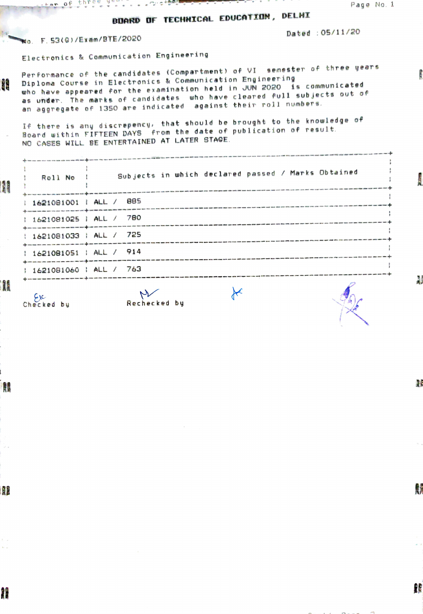## BDARD OF TECHNICAL EDUCATION, DELHI

Dated : 05/11/20

## Wo. F. 53(G)/Exam/BTE/2020

Electronics & Communication Engineering

Per for mance of the candidates (Compar tment) of VI semester of three years Dipl oma Course in Electronics & Commun ication Engineering **AR** who have appeared for the examination held in JUN 2020 is communicated as under. The marks of candidates who have cleared full sub jects out of an aggregate of 13S0 are indicated against their roll numbers.

If there is any discrepency that should be brought to the knowledge of Board uithin FIFTEEN DAYS from the date of publication of result NO CASES WILL BE ENTERTAINED AT LATER STAGE.

| <b>AND</b> | who have your ways were true one can exist you will see will train and to see you. This then with all it<br>Roll No !                                  | Subjects in which declared passed / Marks Obtained                                                                                                                                                                                                                    |  |
|------------|--------------------------------------------------------------------------------------------------------------------------------------------------------|-----------------------------------------------------------------------------------------------------------------------------------------------------------------------------------------------------------------------------------------------------------------------|--|
|            |                                                                                                                                                        | 1621081001   ALL / 885<br>on he was not my this sub about the base and with with the country man of the state was fired that the state was who was the this case of the country that also was paid and over the the country of the country of the countr              |  |
|            | 1 1621081025   ALL / 780                                                                                                                               | project with side pain the past the still was was last lots was contribute any mids with this time the side was then<br>wer hang onth work while down over were given room deals meth and man man beth cond man over most with some coup game this work over ones com |  |
|            | sign along your case today they have been this way into any your paper with your paper your case with your own with any of<br>1 1621081033   ALL / 725 | mocked was done one. One case they goe take you your sign and specifies what was take your way and you can be                                                                                                                                                         |  |
|            | 16210B1051   ALL / 914                                                                                                                                 |                                                                                                                                                                                                                                                                       |  |
|            | 1621081060   ALL / 763                                                                                                                                 |                                                                                                                                                                                                                                                                       |  |
|            |                                                                                                                                                        | $\sqrt{2}$                                                                                                                                                                                                                                                            |  |

 $\star$ 

Checked by Rechecked by

æ

Ŋ

精

Ą

購

M